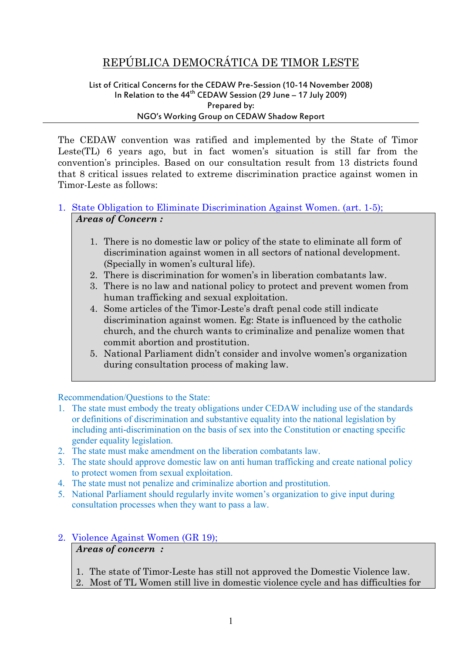# REPÚBLICA DEMOCRÁTICA DE TIMOR LESTE

#### List of Critical Concerns for the CEDAW Pre-Session (10-14 November 2008) In Relation to the  $44<sup>th</sup>$  CEDAW Session (29 June – 17 July 2009) Prepared by: NGO's Working Group on CEDAW Shadow Report

The CEDAW convention was ratified and implemented by the State of Timor Leste(TL) 6 years ago, but in fact women's situation is still far from the convention's principles. Based on our consultation result from 13 districts found that 8 critical issues related to extreme discrimination practice against women in Timor-Leste as follows:

#### 1. State Obligation to Eliminate Discrimination Against Women. (art. 1-5); *Areas of Concern :*

- 1. There is no domestic law or policy of the state to eliminate all form of discrimination against women in all sectors of national development. (Specially in women's cultural life).
- 2. There is discrimination for women's in liberation combatants law.
- 3. There is no law and national policy to protect and prevent women from human trafficking and sexual exploitation.
- 4. Some articles of the Timor-Leste's draft penal code still indicate discrimination against women. Eg: State is influenced by the catholic church, and the church wants to criminalize and penalize women that commit abortion and prostitution.
- 5. National Parliament didn't consider and involve women's organization during consultation process of making law.

Recommendation/Questions to the State:

- 1. The state must embody the treaty obligations under CEDAW including use of the standards or definitions of discrimination and substantive equality into the national legislation by including anti-discrimination on the basis of sex into the Constitution or enacting specific gender equality legislation.
- 2. The state must make amendment on the liberation combatants law.
- 3. The state should approve domestic law on anti human trafficking and create national policy to protect women from sexual exploitation.
- 4. The state must not penalize and criminalize abortion and prostitution.
- 5. National Parliament should regularly invite women's organization to give input during consultation processes when they want to pass a law.
- 2. Violence Against Women (GR 19); *Areas of concern :*
	- 1. The state of Timor-Leste has still not approved the Domestic Violence law.
	- 2. Most of TL Women still live in domestic violence cycle and has difficulties for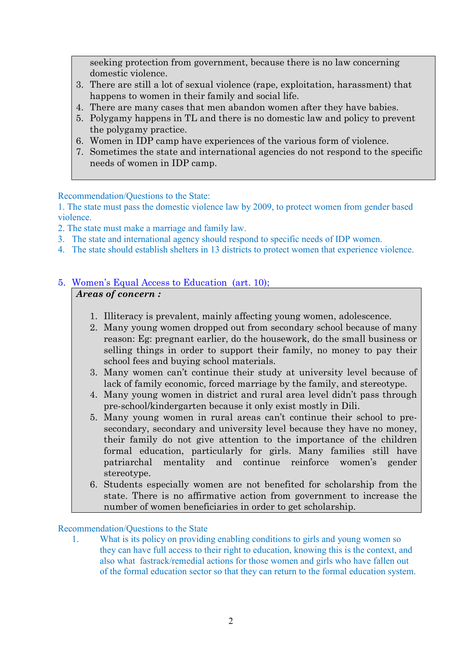seeking protection from government, because there is no law concerning domestic violence.

- 3. There are still a lot of sexual violence (rape, exploitation, harassment) that happens to women in their family and social life.
- 4. There are many cases that men abandon women after they have babies.
- 5. Polygamy happens in TL and there is no domestic law and policy to prevent the polygamy practice.
- 6. Women in IDP camp have experiences of the various form of violence.
- 7. Sometimes the state and international agencies do not respond to the specific needs of women in IDP camp.

Recommendation/Questions to the State:

1. The state must pass the domestic violence law by 2009, to protect women from gender based violence.

- 2. The state must make a marriage and family law.
- 3. The state and international agency should respond to specific needs of IDP women.
- 4. The state should establish shelters in 13 districts to protect women that experience violence.

#### 5. Women's Equal Access to Education (art. 10); *Areas of concern :*

- 1. Illiteracy is prevalent, mainly affecting young women, adolescence.
- 2. Many young women dropped out from secondary school because of many reason: Eg: pregnant earlier, do the housework, do the small business or selling things in order to support their family, no money to pay their school fees and buying school materials.
- 3. Many women can't continue their study at university level because of lack of family economic, forced marriage by the family, and stereotype.
- 4. Many young women in district and rural area level didn't pass through pre-school/kindergarten because it only exist mostly in Dili.
- 5. Many young women in rural areas can't continue their school to presecondary, secondary and university level because they have no money, their family do not give attention to the importance of the children formal education, particularly for girls. Many families still have patriarchal mentality and continue reinforce women's gender stereotype.
- 6. Students especially women are not benefited for scholarship from the state. There is no affirmative action from government to increase the number of women beneficiaries in order to get scholarship.

Recommendation/Questions to the State

1. What is its policy on providing enabling conditions to girls and young women so they can have full access to their right to education, knowing this is the context, and also what fastrack/remedial actions for those women and girls who have fallen out of the formal education sector so that they can return to the formal education system.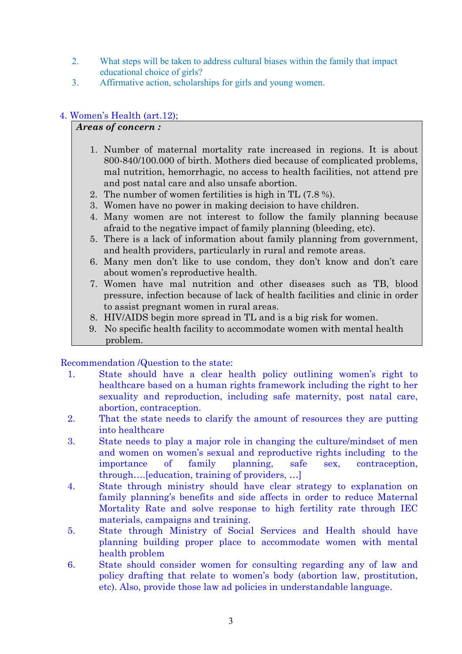- 2. What steps will be taken to address cultural biases within the family that impact educational choice of girls?
- 3. Affirmative action, scholarships for girls and young women.

# 4. Women's Health (art.12);

#### *Areas of concern :*

- 1. Number of maternal mortality rate increased in regions. It is about 800-840/100.000 of birth. Mothers died because of complicated problems, mal nutrition, hemorrhagic, no access to health facilities, not attend pre and post natal care and also unsafe abortion.
- 2. The number of women fertilities is high in TL (7.8 %).
- 3. Women have no power in making decision to have children.
- 4. Many women are not interest to follow the family planning because afraid to the negative impact of family planning (bleeding, etc).
- 5. There is a lack of information about family planning from government, and health providers, particularly in rural and remote areas.
- 6. Many men don't like to use condom, they don't know and don't care about women's reproductive health.
- 7. Women have mal nutrition and other diseases such as TB, blood pressure, infection because of lack of health facilities and clinic in order to assist pregnant women in rural areas.
- 8. HIV/AIDS begin more spread in TL and is a big risk for women.
- 9. No specific health facility to accommodate women with mental health problem.

## Recommendation /Question to the state:

- 1. State should have a clear health policy outlining women's right to healthcare based on a human rights framework including the right to her sexuality and reproduction, including safe maternity, post natal care, abortion, contraception.
- 2. That the state needs to clarify the amount of resources they are putting into healthcare
- 3. State needs to play a major role in changing the culture/mindset of men and women on women's sexual and reproductive rights including to the importance of family planning, safe sex, contraception, through….[education, training of providers, …]
- 4. State through ministry should have clear strategy to explanation on family planning's benefits and side affects in order to reduce Maternal Mortality Rate and solve response to high fertility rate through IEC materials, campaigns and training.
- 5. State through Ministry of Social Services and Health should have planning building proper place to accommodate women with mental health problem
- 6. State should consider women for consulting regarding any of law and policy drafting that relate to women's body (abortion law, prostitution, etc). Also, provide those law ad policies in understandable language.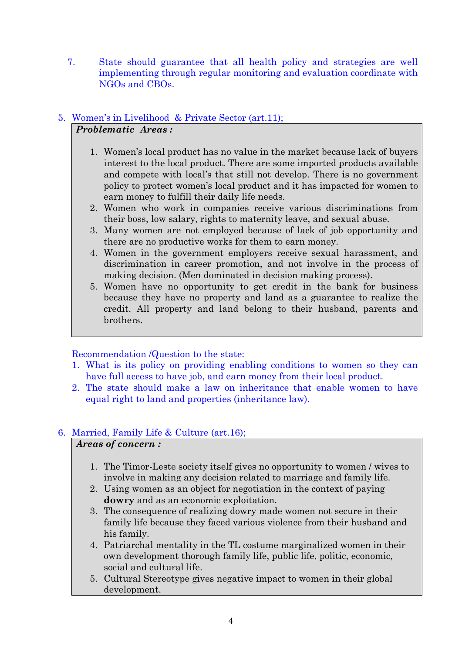7. State should guarantee that all health policy and strategies are well implementing through regular monitoring and evaluation coordinate with NGOs and CBOs.

## 5. Women's in Livelihood & Private Sector (art.11); *Problematic Areas :*

- 1. Women's local product has no value in the market because lack of buyers interest to the local product. There are some imported products available and compete with local's that still not develop. There is no government policy to protect women's local product and it has impacted for women to earn money to fulfill their daily life needs.
- 2. Women who work in companies receive various discriminations from their boss, low salary, rights to maternity leave, and sexual abuse.
- 3. Many women are not employed because of lack of job opportunity and there are no productive works for them to earn money.
- 4. Women in the government employers receive sexual harassment, and discrimination in career promotion, and not involve in the process of making decision. (Men dominated in decision making process).
- 5. Women have no opportunity to get credit in the bank for business because they have no property and land as a guarantee to realize the credit. All property and land belong to their husband, parents and brothers.

## Recommendation /Question to the state:

- 1. What is its policy on providing enabling conditions to women so they can have full access to have job, and earn money from their local product.
- 2. The state should make a law on inheritance that enable women to have equal right to land and properties (inheritance law).

## 6. Married, Family Life & Culture (art.16);

## *Areas of concern :*

- 1. The Timor-Leste society itself gives no opportunity to women / wives to involve in making any decision related to marriage and family life.
- 2. Using women as an object for negotiation in the context of paying **dowry** and as an economic exploitation.
- 3. The consequence of realizing dowry made women not secure in their family life because they faced various violence from their husband and his family.
- 4. Patriarchal mentality in the TL costume marginalized women in their own development thorough family life, public life, politic, economic, social and cultural life.
- 5. Cultural Stereotype gives negative impact to women in their global development.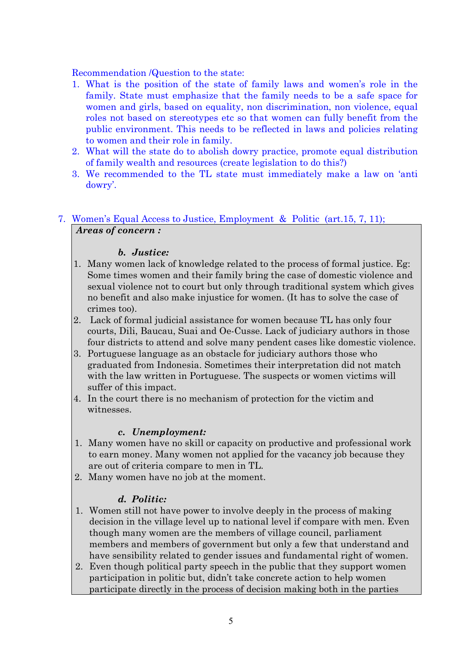Recommendation /Question to the state:

- 1. What is the position of the state of family laws and women's role in the family. State must emphasize that the family needs to be a safe space for women and girls, based on equality, non discrimination, non violence, equal roles not based on stereotypes etc so that women can fully benefit from the public environment. This needs to be reflected in laws and policies relating to women and their role in family.
- 2. What will the state do to abolish dowry practice, promote equal distribution of family wealth and resources (create legislation to do this?)
- 3. We recommended to the TL state must immediately make a law on 'anti dowry'.

## 7. Women's Equal Access to Justice, Employment & Politic (art.15, 7, 11); *Areas of concern :*

## *b. Justice:*

- 1. Many women lack of knowledge related to the process of formal justice. Eg: Some times women and their family bring the case of domestic violence and sexual violence not to court but only through traditional system which gives no benefit and also make injustice for women. (It has to solve the case of crimes too).
- 2. Lack of formal judicial assistance for women because TL has only four courts, Dili, Baucau, Suai and Oe-Cusse. Lack of judiciary authors in those four districts to attend and solve many pendent cases like domestic violence.
- 3. Portuguese language as an obstacle for judiciary authors those who graduated from Indonesia. Sometimes their interpretation did not match with the law written in Portuguese. The suspects or women victims will suffer of this impact.
- 4. In the court there is no mechanism of protection for the victim and witnesses.

## *c. Unemployment:*

- 1. Many women have no skill or capacity on productive and professional work to earn money. Many women not applied for the vacancy job because they are out of criteria compare to men in TL.
- 2. Many women have no job at the moment.

# *d. Politic:*

- 1. Women still not have power to involve deeply in the process of making decision in the village level up to national level if compare with men. Even though many women are the members of village council, parliament members and members of government but only a few that understand and have sensibility related to gender issues and fundamental right of women.
- 2. Even though political party speech in the public that they support women participation in politic but, didn't take concrete action to help women participate directly in the process of decision making both in the parties